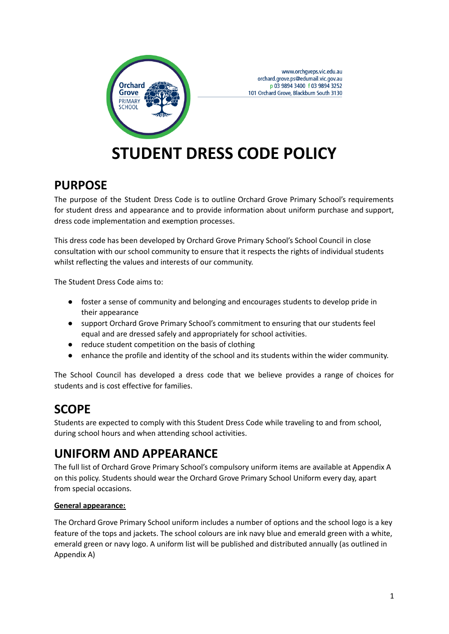

www.orchgveps.vic.edu.au orchard.grove.ps@edumail.vic.gov.au p 03 9894 3400 f 03 9894 3252 101 Orchard Grove, Blackburn South 3130

# **STUDENT DRESS CODE POLICY**

### **PURPOSE**

The purpose of the Student Dress Code is to outline Orchard Grove Primary School's requirements for student dress and appearance and to provide information about uniform purchase and support, dress code implementation and exemption processes.

This dress code has been developed by Orchard Grove Primary School's School Council in close consultation with our school community to ensure that it respects the rights of individual students whilst reflecting the values and interests of our community.

The Student Dress Code aims to:

- foster a sense of community and belonging and encourages students to develop pride in their appearance
- support Orchard Grove Primary School's commitment to ensuring that our students feel equal and are dressed safely and appropriately for school activities.
- reduce student competition on the basis of clothing
- enhance the profile and identity of the school and its students within the wider community.

The School Council has developed a dress code that we believe provides a range of choices for students and is cost effective for families.

# **SCOPE**

Students are expected to comply with this Student Dress Code while traveling to and from school, during school hours and when attending school activities.

# **UNIFORM AND APPEARANCE**

The full list of Orchard Grove Primary School's compulsory uniform items are available at Appendix A on this policy. Students should wear the Orchard Grove Primary School Uniform every day, apart from special occasions.

#### **General appearance:**

The Orchard Grove Primary School uniform includes a number of options and the school logo is a key feature of the tops and jackets. The school colours are ink navy blue and emerald green with a white, emerald green or navy logo. A uniform list will be published and distributed annually (as outlined in Appendix A)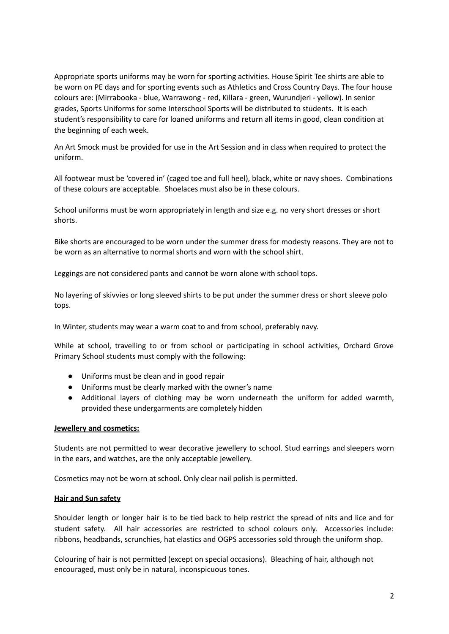Appropriate sports uniforms may be worn for sporting activities. House Spirit Tee shirts are able to be worn on PE days and for sporting events such as Athletics and Cross Country Days. The four house colours are: (Mirrabooka - blue, Warrawong - red, Killara - green, Wurundjeri - yellow). In senior grades, Sports Uniforms for some Interschool Sports will be distributed to students. It is each student's responsibility to care for loaned uniforms and return all items in good, clean condition at the beginning of each week.

An Art Smock must be provided for use in the Art Session and in class when required to protect the uniform.

All footwear must be 'covered in' (caged toe and full heel), black, white or navy shoes. Combinations of these colours are acceptable. Shoelaces must also be in these colours.

School uniforms must be worn appropriately in length and size e.g. no very short dresses or short shorts.

Bike shorts are encouraged to be worn under the summer dress for modesty reasons. They are not to be worn as an alternative to normal shorts and worn with the school shirt.

Leggings are not considered pants and cannot be worn alone with school tops.

No layering of skivvies or long sleeved shirts to be put under the summer dress or short sleeve polo tops.

In Winter, students may wear a warm coat to and from school, preferably navy.

While at school, travelling to or from school or participating in school activities, Orchard Grove Primary School students must comply with the following:

- Uniforms must be clean and in good repair
- Uniforms must be clearly marked with the owner's name
- Additional layers of clothing may be worn underneath the uniform for added warmth, provided these undergarments are completely hidden

#### **Jewellery and cosmetics:**

Students are not permitted to wear decorative jewellery to school. Stud earrings and sleepers worn in the ears, and watches, are the only acceptable jewellery.

Cosmetics may not be worn at school. Only clear nail polish is permitted.

#### **Hair and Sun safety**

Shoulder length or longer hair is to be tied back to help restrict the spread of nits and lice and for student safety. All hair accessories are restricted to school colours only. Accessories include: ribbons, headbands, scrunchies, hat elastics and OGPS accessories sold through the uniform shop.

Colouring of hair is not permitted (except on special occasions). Bleaching of hair, although not encouraged, must only be in natural, inconspicuous tones.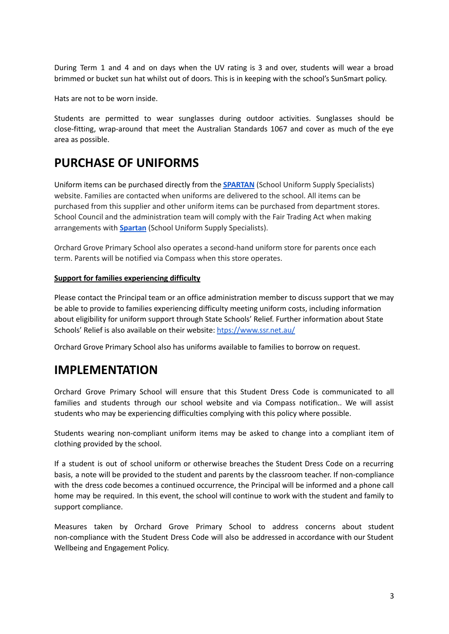During Term 1 and 4 and on days when the UV rating is 3 and over, students will wear a broad brimmed or bucket sun hat whilst out of doors. This is in keeping with the school's SunSmart policy.

Hats are not to be worn inside.

Students are permitted to wear sunglasses during outdoor activities. Sunglasses should be close-fitting, wrap-around that meet the Australian Standards 1067 and cover as much of the eye area as possible.

# **PURCHASE OF UNIFORMS**

Uniform items can be purchased directly from the **[SPARTAN](https://www.spartanss.com.au/)** (School Uniform Supply Specialists) website. Families are contacted when uniforms are delivered to the school. All items can be purchased from this supplier and other uniform items can be purchased from department stores. School Council and the administration team will comply with the Fair Trading Act when making arrangements with **[Spartan](https://www.spartanss.com.au/)** (School Uniform Supply Specialists).

Orchard Grove Primary School also operates a second-hand uniform store for parents once each term. Parents will be notified via Compass when this store operates.

#### **Support for families experiencing difficulty**

Please contact the Principal team or an office administration member to discuss support that we may be able to provide to families experiencing difficulty meeting uniform costs, including information about eligibility for uniform support through State Schools' Relief. Further information about State Schools' Relief is also available on their website: [htps://www.ssr.net.au/](https://www.ssr.net.au/)

Orchard Grove Primary School also has uniforms available to families to borrow on request.

### **IMPLEMENTATION**

Orchard Grove Primary School will ensure that this Student Dress Code is communicated to all families and students through our school website and via Compass notification.. We will assist students who may be experiencing difficulties complying with this policy where possible.

Students wearing non-compliant uniform items may be asked to change into a compliant item of clothing provided by the school.

If a student is out of school uniform or otherwise breaches the Student Dress Code on a recurring basis, a note will be provided to the student and parents by the classroom teacher. If non-compliance with the dress code becomes a continued occurrence, the Principal will be informed and a phone call home may be required. In this event, the school will continue to work with the student and family to support compliance.

Measures taken by Orchard Grove Primary School to address concerns about student non-compliance with the Student Dress Code will also be addressed in accordance with our Student Wellbeing and Engagement Policy.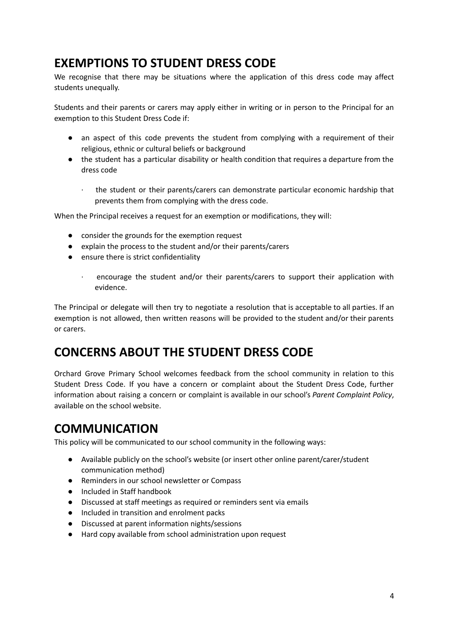## **EXEMPTIONS TO STUDENT DRESS CODE**

We recognise that there may be situations where the application of this dress code may affect students unequally.

Students and their parents or carers may apply either in writing or in person to the Principal for an exemption to this Student Dress Code if:

- an aspect of this code prevents the student from complying with a requirement of their religious, ethnic or cultural beliefs or background
- the student has a particular disability or health condition that requires a departure from the dress code
	- the student or their parents/carers can demonstrate particular economic hardship that prevents them from complying with the dress code.

When the Principal receives a request for an exemption or modifications, they will:

- consider the grounds for the exemption request
- explain the process to the student and/or their parents/carers
- ensure there is strict confidentiality
	- · encourage the student and/or their parents/carers to support their application with evidence.

The Principal or delegate will then try to negotiate a resolution that is acceptable to all parties. If an exemption is not allowed, then written reasons will be provided to the student and/or their parents or carers.

### **CONCERNS ABOUT THE STUDENT DRESS CODE**

Orchard Grove Primary School welcomes feedback from the school community in relation to this Student Dress Code. If you have a concern or complaint about the Student Dress Code, further information about raising a concern or complaint is available in our school's *Parent Complaint Policy*, available on the school website.

### **COMMUNICATION**

This policy will be communicated to our school community in the following ways:

- Available publicly on the school's website (or insert other online parent/carer/student communication method)
- Reminders in our school newsletter or Compass
- Included in Staff handbook
- Discussed at staff meetings as required or reminders sent via emails
- Included in transition and enrolment packs
- Discussed at parent information nights/sessions
- Hard copy available from school administration upon request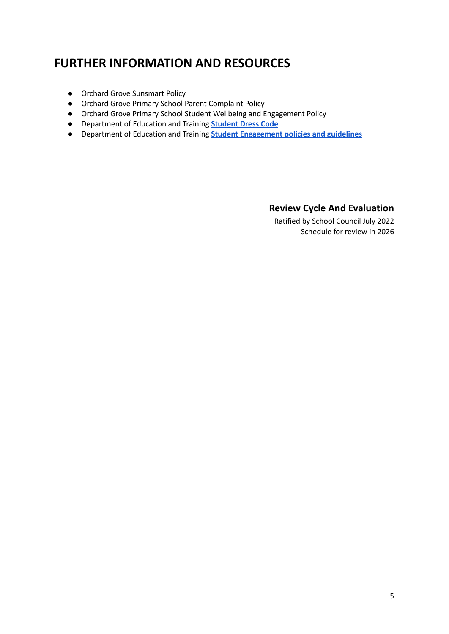# **FURTHER INFORMATION AND RESOURCES**

- Orchard Grove Sunsmart Policy
- Orchard Grove Primary School Parent Complaint Policy
- Orchard Grove Primary School Student Wellbeing and Engagement Policy
- Department of Education and Training **[Student](https://www2.education.vic.gov.au/pal/student-dress-code/policy) Dress Code**
- Department of Education and Training **Student [Engagement](https://www2.education.vic.gov.au/pal/student-engagement/policy) policies and guidelines**

#### **Review Cycle And Evaluation**

Ratified by School Council July 2022 Schedule for review in 2026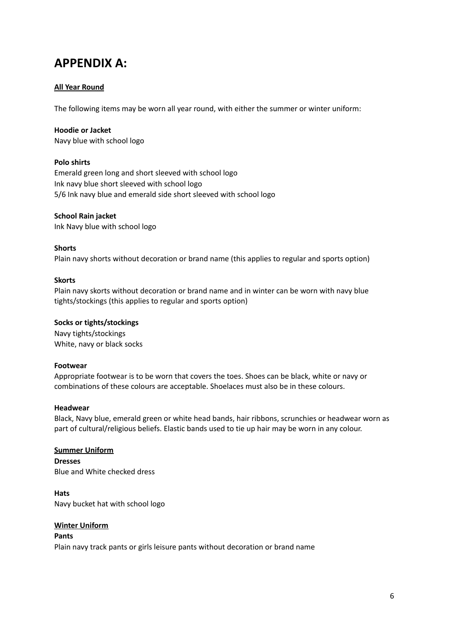### **APPENDIX A:**

#### **All Year Round**

The following items may be worn all year round, with either the summer or winter uniform:

#### **Hoodie or Jacket**

Navy blue with school logo

#### **Polo shirts**

Emerald green long and short sleeved with school logo Ink navy blue short sleeved with school logo 5/6 Ink navy blue and emerald side short sleeved with school logo

#### **School Rain jacket**

Ink Navy blue with school logo

#### **Shorts**

Plain navy shorts without decoration or brand name (this applies to regular and sports option)

#### **Skorts**

Plain navy skorts without decoration or brand name and in winter can be worn with navy blue tights/stockings (this applies to regular and sports option)

#### **Socks or tights/stockings**

Navy tights/stockings White, navy or black socks

#### **Footwear**

Appropriate footwear is to be worn that covers the toes. Shoes can be black, white or navy or combinations of these colours are acceptable. Shoelaces must also be in these colours.

#### **Headwear**

Black, Navy blue, emerald green or white head bands, hair ribbons, scrunchies or headwear worn as part of cultural/religious beliefs. Elastic bands used to tie up hair may be worn in any colour.

#### **Summer Uniform**

**Dresses** Blue and White checked dress

**Hats** Navy bucket hat with school logo

#### **Winter Uniform**

#### **Pants**

Plain navy track pants or girls leisure pants without decoration or brand name